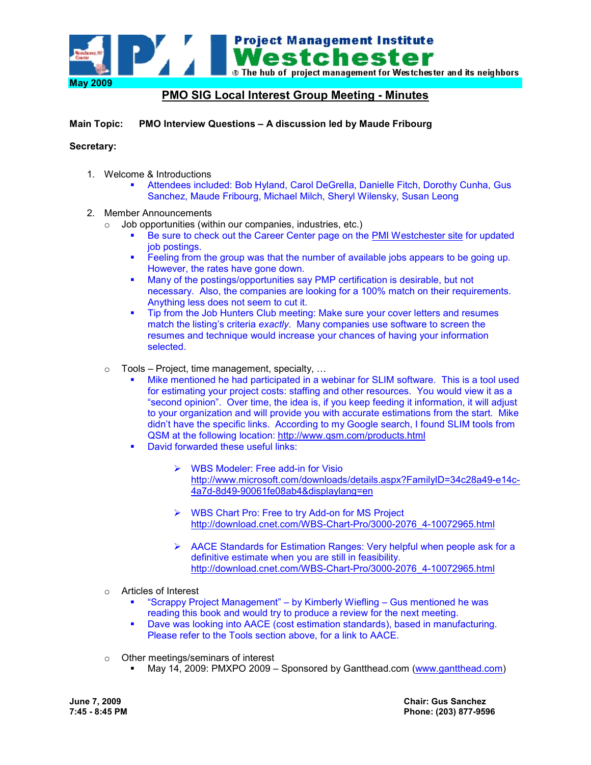

## **PMO SIG Local Interest Group Meeting - Minutes**

**Main Topic: PMO Interview Questions – A discussion led by Maude Fribourg** 

## **Secretary:**

- 1. Welcome & Introductions
	- Attendees included: Bob Hyland, Carol DeGrella, Danielle Fitch, Dorothy Cunha, Gus Sanchez, Maude Fribourg, Michael Milch, Sheryl Wilensky, Susan Leong
- 2. Member Announcements
	- $\circ$  Job opportunities (within our companies, industries, etc.)
		- Be sure to check out the Career Center page on the PMI Westchester site for updated job postings.
		- Feeling from the group was that the number of available jobs appears to be going up. However, the rates have gone down.
		- **Many of the postings/opportunities say PMP certification is desirable, but not** necessary. Also, the companies are looking for a 100% match on their requirements. Anything less does not seem to cut it.
		- Tip from the Job Hunters Club meeting: Make sure your cover letters and resumes match the listing's criteria *exactly*. Many companies use software to screen the resumes and technique would increase your chances of having your information selected.
	- $\circ$  Tools Project, time management, specialty, ...
		- Mike mentioned he had participated in a webinar for SLIM software. This is a tool used for estimating your project costs: staffing and other resources. You would view it as a "second opinion". Over time, the idea is, if you keep feeding it information, it will adjust to your organization and will provide you with accurate estimations from the start. Mike didn't have the specific links. According to my Google search, I found SLIM tools from QSM at the following location: http://www.qsm.com/products.html
		- David forwarded these useful links:
			- > WBS Modeler: Free add-in for Visio http://www.microsoft.com/downloads/details.aspx?FamilyID=34c28a49-e14c-4a7d-8d49-90061fe08ab4&displaylang=en
			- > WBS Chart Pro: Free to try Add-on for MS Project http://download.cnet.com/WBS-Chart-Pro/3000-2076\_4-10072965.html
			- > AACE Standards for Estimation Ranges: Very helpful when people ask for a definitive estimate when you are still in feasibility. http://download.cnet.com/WBS-Chart-Pro/3000-2076\_4-10072965.html
	- o Articles of Interest
		- "Scrappy Project Management" by Kimberly Wiefling Gus mentioned he was reading this book and would try to produce a review for the next meeting.
		- Dave was looking into AACE (cost estimation standards), based in manufacturing. Please refer to the Tools section above, for a link to AACE.
	- o Other meetings/seminars of interest
		- May 14, 2009: PMXPO 2009 Sponsored by Gantthead.com (www.gantthead.com)